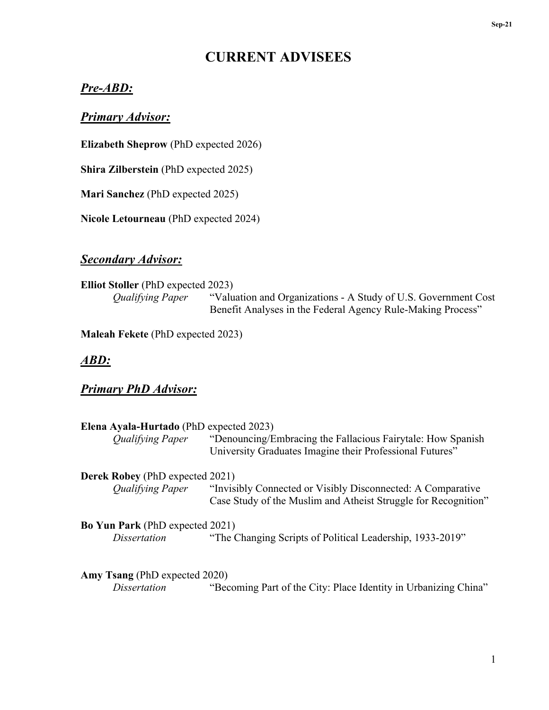# **CURRENT ADVISEES**

## *Pre-ABD:*

### *Primary Advisor:*

**Elizabeth Sheprow** (PhD expected 2026)

**Shira Zilberstein** (PhD expected 2025)

**Mari Sanchez** (PhD expected 2025)

**Nicole Letourneau** (PhD expected 2024)

## *Secondary Advisor:*

**Elliot Stoller** (PhD expected 2023)<br>*Qualifying Paper* "Valu "Valuation and Organizations - A Study of U.S. Government Cost Benefit Analyses in the Federal Agency Rule-Making Process"

**Maleah Fekete** (PhD expected 2023)

### *ABD:*

## *Primary PhD Advisor:*

| Elena Ayala-Hurtado (PhD expected 2023) |                                                                 |
|-----------------------------------------|-----------------------------------------------------------------|
| <b>Qualifying Paper</b>                 | "Denouncing/Embracing the Fallacious Fairytale: How Spanish     |
|                                         | University Graduates Imagine their Professional Futures"        |
| <b>Derek Robey</b> (PhD expected 2021)  |                                                                 |
| <b>Qualifying Paper</b>                 | "Invisibly Connected or Visibly Disconnected: A Comparative     |
|                                         | Case Study of the Muslim and Atheist Struggle for Recognition"  |
| <b>Bo Yun Park</b> (PhD expected 2021)  |                                                                 |
| <i>Dissertation</i>                     | "The Changing Scripts of Political Leadership, 1933-2019"       |
|                                         |                                                                 |
| Amy Tsang (PhD expected 2020)           |                                                                 |
| Dissertation                            | "Becoming Part of the City: Place Identity in Urbanizing China" |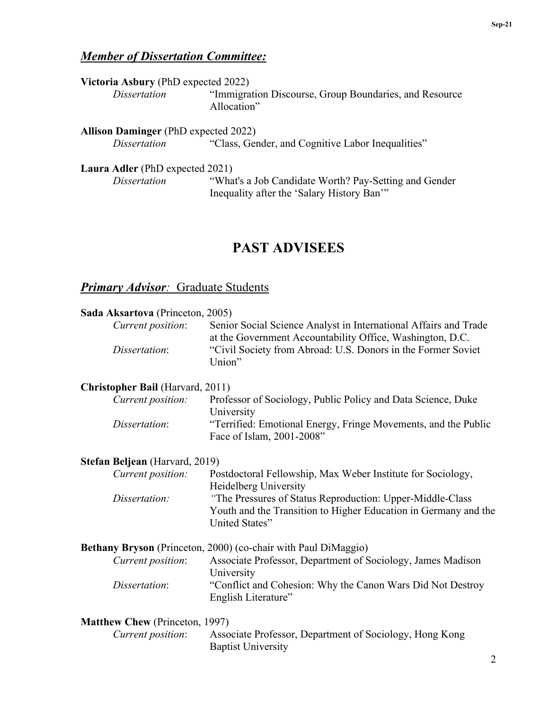## *Member of Dissertation Committee:*

| Victoria Asbury (PhD expected 2022)         |                                                                       |
|---------------------------------------------|-----------------------------------------------------------------------|
| <i>Dissertation</i>                         | "Immigration Discourse, Group Boundaries, and Resource<br>Allocation" |
| <b>Allison Daminger</b> (PhD expected 2022) |                                                                       |
| <i>Dissertation</i>                         | "Class, Gender, and Cognitive Labor Inequalities"                     |
| Laura Adler (PhD expected 2021)             |                                                                       |

*Dissertation* "What's a Job Candidate Worth? Pay-Setting and Gender Inequality after the 'Salary History Ban'"

## **PAST ADVISEES**

## *Primary Advisor:* Graduate Students

| Sada Aksartova (Princeton, 2005)        |                                                                                                                                                |
|-----------------------------------------|------------------------------------------------------------------------------------------------------------------------------------------------|
| Current position:                       | Senior Social Science Analyst in International Affairs and Trade<br>at the Government Accountability Office, Washington, D.C.                  |
| Dissertation:                           | "Civil Society from Abroad: U.S. Donors in the Former Soviet<br>Union"                                                                         |
| <b>Christopher Bail</b> (Harvard, 2011) |                                                                                                                                                |
| Current position:                       | Professor of Sociology, Public Policy and Data Science, Duke<br>University                                                                     |
| Dissertation:                           | "Terrified: Emotional Energy, Fringe Movements, and the Public<br>Face of Islam, 2001-2008"                                                    |
| Stefan Beljean (Harvard, 2019)          |                                                                                                                                                |
| Current position:                       | Postdoctoral Fellowship, Max Weber Institute for Sociology,<br>Heidelberg University                                                           |
| Dissertation:                           | "The Pressures of Status Reproduction: Upper-Middle-Class<br>Youth and the Transition to Higher Education in Germany and the<br>United States" |
|                                         | <b>Bethany Bryson</b> (Princeton, 2000) (co-chair with Paul DiMaggio)                                                                          |
| Current position:                       | Associate Professor, Department of Sociology, James Madison<br>University                                                                      |
| Dissertation:                           | "Conflict and Cohesion: Why the Canon Wars Did Not Destroy<br>English Literature"                                                              |
| <b>Matthew Chew (Princeton, 1997)</b>   |                                                                                                                                                |
| Current position:                       | Associate Professor, Department of Sociology, Hong Kong<br><b>Baptist University</b>                                                           |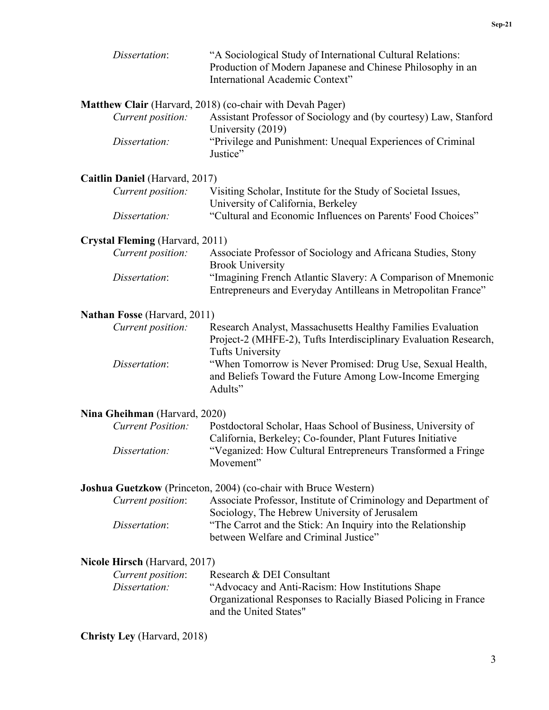| Dissertation:                       | "A Sociological Study of International Cultural Relations:<br>Production of Modern Japanese and Chinese Philosophy in an<br>International Academic Context" |
|-------------------------------------|-------------------------------------------------------------------------------------------------------------------------------------------------------------|
| Current position:                   | Matthew Clair (Harvard, 2018) (co-chair with Devah Pager)<br>Assistant Professor of Sociology and (by courtesy) Law, Stanford<br>University (2019)          |
| Dissertation:                       | "Privilege and Punishment: Unequal Experiences of Criminal<br>Justice"                                                                                      |
| Caitlin Daniel (Harvard, 2017)      |                                                                                                                                                             |
| Current position:                   | Visiting Scholar, Institute for the Study of Societal Issues,<br>University of California, Berkeley                                                         |
| Dissertation:                       | "Cultural and Economic Influences on Parents' Food Choices"                                                                                                 |
| Crystal Fleming (Harvard, 2011)     |                                                                                                                                                             |
| Current position:                   | Associate Professor of Sociology and Africana Studies, Stony<br><b>Brook University</b>                                                                     |
| Dissertation:                       | "Imagining French Atlantic Slavery: A Comparison of Mnemonic<br>Entrepreneurs and Everyday Antilleans in Metropolitan France"                               |
| <b>Nathan Fosse (Harvard, 2011)</b> |                                                                                                                                                             |
| Current position:                   | Research Analyst, Massachusetts Healthy Families Evaluation<br>Project-2 (MHFE-2), Tufts Interdisciplinary Evaluation Research,<br><b>Tufts University</b>  |
| Dissertation:                       | "When Tomorrow is Never Promised: Drug Use, Sexual Health,<br>and Beliefs Toward the Future Among Low-Income Emerging<br>Adults"                            |
| Nina Gheihman (Harvard, 2020)       |                                                                                                                                                             |
| <b>Current Position:</b>            | Postdoctoral Scholar, Haas School of Business, University of<br>California, Berkeley; Co-founder, Plant Futures Initiative                                  |
| Dissertation:                       | "Veganized: How Cultural Entrepreneurs Transformed a Fringe<br>Movement"                                                                                    |
|                                     | Joshua Guetzkow (Princeton, 2004) (co-chair with Bruce Western)                                                                                             |
| Current position:                   | Associate Professor, Institute of Criminology and Department of<br>Sociology, The Hebrew University of Jerusalem                                            |
| Dissertation:                       | "The Carrot and the Stick: An Inquiry into the Relationship<br>between Welfare and Criminal Justice"                                                        |
| Nicole Hirsch (Harvard, 2017)       |                                                                                                                                                             |
| Current position:                   | Research & DEI Consultant                                                                                                                                   |
| Dissertation:                       | "Advocacy and Anti-Racism: How Institutions Shape<br>Organizational Responses to Racially Biased Policing in France<br>and the United States"               |
| <b>Christy Ley</b> (Harvard, 2018)  |                                                                                                                                                             |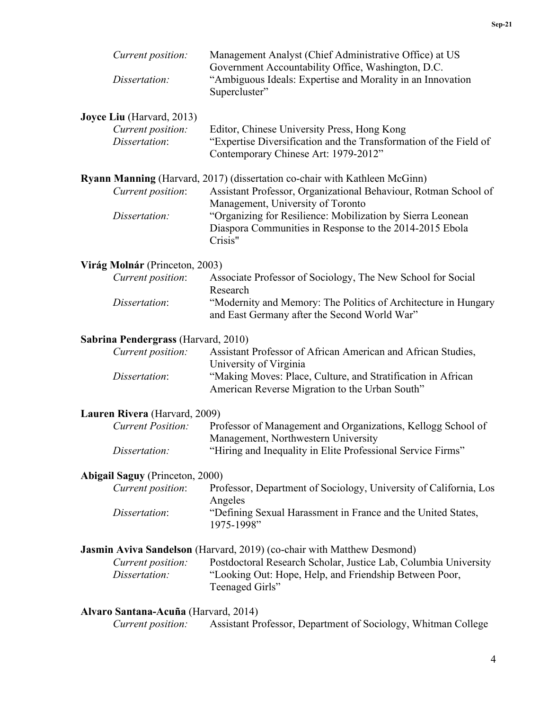| Current position:<br>Dissertation:                                           | Management Analyst (Chief Administrative Office) at US<br>Government Accountability Office, Washington, D.C.<br>"Ambiguous Ideals: Expertise and Morality in an Innovation<br>Supercluster"                                                                                                                            |
|------------------------------------------------------------------------------|------------------------------------------------------------------------------------------------------------------------------------------------------------------------------------------------------------------------------------------------------------------------------------------------------------------------|
| <b>Joyce Liu</b> (Harvard, 2013)<br>Current position:<br>Dissertation:       | Editor, Chinese University Press, Hong Kong<br>"Expertise Diversification and the Transformation of the Field of<br>Contemporary Chinese Art: 1979-2012"                                                                                                                                                               |
| Current position:<br>Dissertation:                                           | Ryann Manning (Harvard, 2017) (dissertation co-chair with Kathleen McGinn)<br>Assistant Professor, Organizational Behaviour, Rotman School of<br>Management, University of Toronto<br>"Organizing for Resilience: Mobilization by Sierra Leonean<br>Diaspora Communities in Response to the 2014-2015 Ebola<br>Crisis" |
| Virág Molnár (Princeton, 2003)<br>Current position:<br>Dissertation:         | Associate Professor of Sociology, The New School for Social<br>Research<br>"Modernity and Memory: The Politics of Architecture in Hungary<br>and East Germany after the Second World War"                                                                                                                              |
| Sabrina Pendergrass (Harvard, 2010)<br>Current position:<br>Dissertation:    | Assistant Professor of African American and African Studies,<br>University of Virginia<br>"Making Moves: Place, Culture, and Stratification in African<br>American Reverse Migration to the Urban South"                                                                                                               |
| Lauren Rivera (Harvard, 2009)<br><b>Current Position:</b><br>Dissertation:   | Professor of Management and Organizations, Kellogg School of<br>Management, Northwestern University<br>"Hiring and Inequality in Elite Professional Service Firms"                                                                                                                                                     |
| <b>Abigail Saguy (Princeton, 2000)</b><br>Current position:<br>Dissertation: | Professor, Department of Sociology, University of California, Los<br>Angeles<br>"Defining Sexual Harassment in France and the United States,<br>1975-1998"                                                                                                                                                             |
| Current position:<br>Dissertation:                                           | <b>Jasmin Aviva Sandelson</b> (Harvard, 2019) (co-chair with Matthew Desmond)<br>Postdoctoral Research Scholar, Justice Lab, Columbia University<br>"Looking Out: Hope, Help, and Friendship Between Poor,<br>Teenaged Girls"                                                                                          |
| Alvaro Santana-Acuña (Harvard, 2014)<br>Current position:                    | Assistant Professor, Department of Sociology, Whitman College                                                                                                                                                                                                                                                          |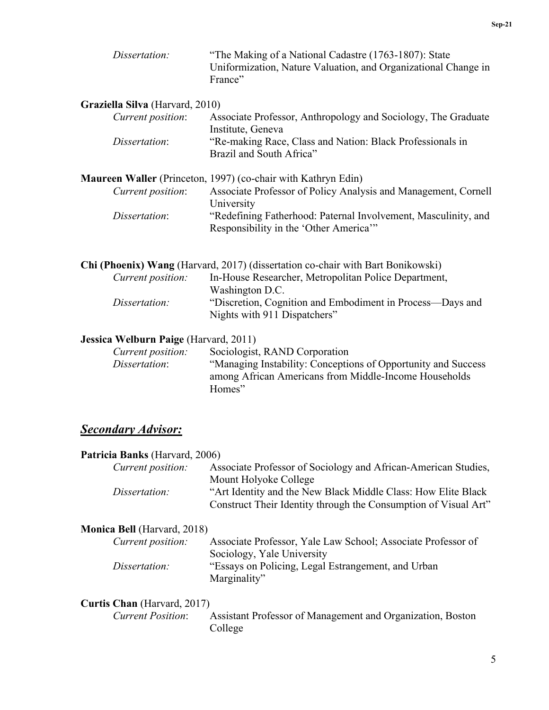| Dissertation:                   | "The Making of a National Cadastre (1763-1807): State<br>Uniformization, Nature Valuation, and Organizational Change in<br>France" |
|---------------------------------|------------------------------------------------------------------------------------------------------------------------------------|
| Graziella Silva (Harvard, 2010) |                                                                                                                                    |
| Current position:               | Associate Professor, Anthropology and Sociology, The Graduate<br>Institute, Geneva                                                 |
| Dissertation:                   | "Re-making Race, Class and Nation: Black Professionals in<br>Brazil and South Africa"                                              |
|                                 | <b>Maureen Waller</b> (Princeton, 1997) (co-chair with Kathryn Edin)                                                               |
| Current position:               | Associate Professor of Policy Analysis and Management, Cornell<br>University                                                       |
| Dissertation:                   | "Redefining Fatherhood: Paternal Involvement, Masculinity, and<br>Responsibility in the 'Other America'"                           |
|                                 |                                                                                                                                    |
|                                 |                                                                                                                                    |

| <b>Chi (Phoenix) Wang</b> (Harvard, 2017) (dissertation co-chair with Bart Bonikowski) |
|----------------------------------------------------------------------------------------|
| In-House Researcher, Metropolitan Police Department,                                   |
| Washington D.C.                                                                        |
| "Discretion, Cognition and Embodiment in Process—Days and                              |
| Nights with 911 Dispatchers"                                                           |
|                                                                                        |

#### **Jessica Welburn Paige** (Harvard, 2011)

| Current position: | Sociologist, RAND Corporation                                 |
|-------------------|---------------------------------------------------------------|
| Dissertation:     | "Managing Instability: Conceptions of Opportunity and Success |
|                   | among African Americans from Middle-Income Households         |
|                   | Homes"                                                        |

## *Secondary Advisor:*

#### **Patricia Banks** (Harvard, 2006)

| <i>Current position:</i> | Associate Professor of Sociology and African-American Studies,  |
|--------------------------|-----------------------------------------------------------------|
|                          | Mount Holyoke College                                           |
| Dissertation:            | "Art Identity and the New Black Middle Class: How Elite Black   |
|                          | Construct Their Identity through the Consumption of Visual Art" |

## **Monica Bell** (Harvard, 2018)

| Current position: | Associate Professor, Yale Law School; Associate Professor of |
|-------------------|--------------------------------------------------------------|
|                   | Sociology, Yale University                                   |
| Dissertation:     | "Essays on Policing, Legal Estrangement, and Urban           |
|                   | Marginality"                                                 |

# **Curtis Chan** (Harvard, 2017)<br>*Current Position*:

Assistant Professor of Management and Organization, Boston College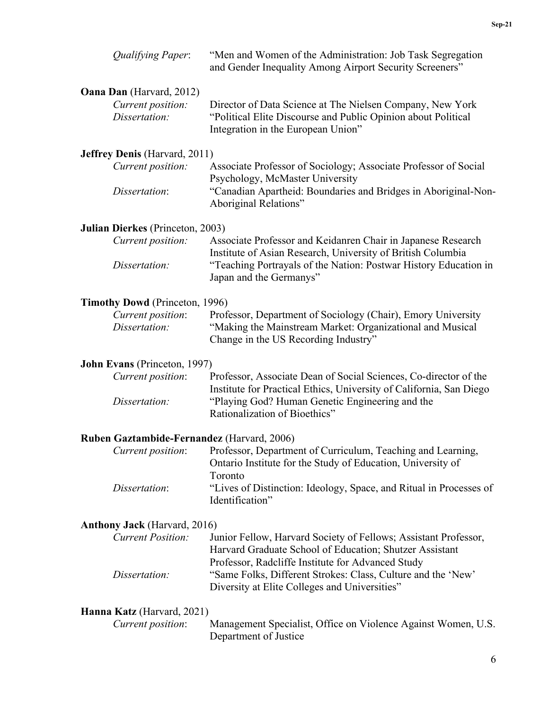| <b>Qualifying Paper:</b>              | "Men and Women of the Administration: Job Task Segregation<br>and Gender Inequality Among Airport Security Screeners"                                              |
|---------------------------------------|--------------------------------------------------------------------------------------------------------------------------------------------------------------------|
| <b>Oana Dan</b> (Harvard, 2012)       |                                                                                                                                                                    |
| Current position:<br>Dissertation:    | Director of Data Science at The Nielsen Company, New York<br>"Political Elite Discourse and Public Opinion about Political<br>Integration in the European Union"   |
| <b>Jeffrey Denis (Harvard, 2011)</b>  |                                                                                                                                                                    |
| Current position:                     | Associate Professor of Sociology; Associate Professor of Social<br>Psychology, McMaster University                                                                 |
| Dissertation:                         | "Canadian Apartheid: Boundaries and Bridges in Aboriginal-Non-<br>Aboriginal Relations"                                                                            |
| Julian Dierkes (Princeton, 2003)      |                                                                                                                                                                    |
| Current position:                     | Associate Professor and Keidanren Chair in Japanese Research<br>Institute of Asian Research, University of British Columbia                                        |
| Dissertation:                         | "Teaching Portrayals of the Nation: Postwar History Education in<br>Japan and the Germanys"                                                                        |
| <b>Timothy Dowd</b> (Princeton, 1996) |                                                                                                                                                                    |
| Current position:                     | Professor, Department of Sociology (Chair), Emory University                                                                                                       |
| Dissertation:                         | "Making the Mainstream Market: Organizational and Musical<br>Change in the US Recording Industry"                                                                  |
| John Evans (Princeton, 1997)          |                                                                                                                                                                    |
| Current position:                     | Professor, Associate Dean of Social Sciences, Co-director of the<br>Institute for Practical Ethics, University of California, San Diego                            |
| Dissertation:                         | "Playing God? Human Genetic Engineering and the<br>Rationalization of Bioethics"                                                                                   |
|                                       | Ruben Gaztambide-Fernandez (Harvard, 2006)                                                                                                                         |
| Current position:                     | Professor, Department of Curriculum, Teaching and Learning,<br>Ontario Institute for the Study of Education, University of<br>Toronto                              |
| Dissertation:                         | "Lives of Distinction: Ideology, Space, and Ritual in Processes of<br>Identification"                                                                              |
| <b>Anthony Jack</b> (Harvard, 2016)   |                                                                                                                                                                    |
| <b>Current Position:</b>              | Junior Fellow, Harvard Society of Fellows; Assistant Professor,<br>Harvard Graduate School of Education; Shutzer Assistant                                         |
| Dissertation:                         | Professor, Radcliffe Institute for Advanced Study<br>"Same Folks, Different Strokes: Class, Culture and the 'New'<br>Diversity at Elite Colleges and Universities" |
| Hanna Katz (Harvard, 2021)            |                                                                                                                                                                    |
| Current position:                     | Management Specialist, Office on Violence Against Women, U.S.<br>Department of Justice                                                                             |
|                                       | 6                                                                                                                                                                  |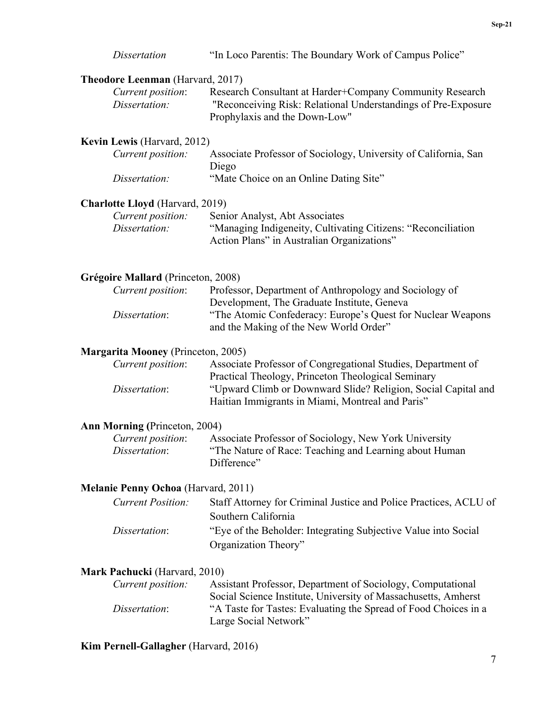| <i>Dissertation</i>                        | "In Loco Parentis: The Boundary Work of Campus Police"                                                                                                     |
|--------------------------------------------|------------------------------------------------------------------------------------------------------------------------------------------------------------|
| <b>Theodore Leenman</b> (Harvard, 2017)    |                                                                                                                                                            |
| Current position:<br>Dissertation:         | Research Consultant at Harder+Company Community Research<br>"Reconceiving Risk: Relational Understandings of Pre-Exposure<br>Prophylaxis and the Down-Low" |
| Kevin Lewis (Harvard, 2012)                |                                                                                                                                                            |
| Current position:                          | Associate Professor of Sociology, University of California, San<br>Diego                                                                                   |
| Dissertation:                              | "Mate Choice on an Online Dating Site"                                                                                                                     |
| <b>Charlotte Lloyd</b> (Harvard, 2019)     |                                                                                                                                                            |
| Current position:                          | Senior Analyst, Abt Associates                                                                                                                             |
| Dissertation:                              | "Managing Indigeneity, Cultivating Citizens: "Reconciliation<br>Action Plans" in Australian Organizations"                                                 |
| Grégoire Mallard (Princeton, 2008)         |                                                                                                                                                            |
| Current position:                          | Professor, Department of Anthropology and Sociology of<br>Development, The Graduate Institute, Geneva                                                      |
| Dissertation:                              | "The Atomic Confederacy: Europe's Quest for Nuclear Weapons<br>and the Making of the New World Order"                                                      |
| <b>Margarita Mooney (Princeton, 2005)</b>  |                                                                                                                                                            |
| Current position:                          | Associate Professor of Congregational Studies, Department of<br>Practical Theology, Princeton Theological Seminary                                         |
| Dissertation:                              | "Upward Climb or Downward Slide? Religion, Social Capital and<br>Haitian Immigrants in Miami, Montreal and Paris"                                          |
| <b>Ann Morning (Princeton, 2004)</b>       |                                                                                                                                                            |
| Current position:                          | Associate Professor of Sociology, New York University                                                                                                      |
| Dissertation:                              | "The Nature of Race: Teaching and Learning about Human"<br>Difference"                                                                                     |
| <b>Melanie Penny Ochoa</b> (Harvard, 2011) |                                                                                                                                                            |
| <b>Current Position:</b>                   | Staff Attorney for Criminal Justice and Police Practices, ACLU of                                                                                          |
|                                            | Southern California                                                                                                                                        |
| Dissertation:                              | "Eye of the Beholder: Integrating Subjective Value into Social                                                                                             |
|                                            | Organization Theory"                                                                                                                                       |
| Mark Pachucki (Harvard, 2010)              |                                                                                                                                                            |
| Current position:                          | Assistant Professor, Department of Sociology, Computational                                                                                                |
|                                            | Social Science Institute I Iniversity of Massachusetts Amberst                                                                                             |

| $\mathcal{L}$ <i>un che posttion.</i> | Tropolant FrontSoon, Department of Doctorogy, Computational     |
|---------------------------------------|-----------------------------------------------------------------|
|                                       | Social Science Institute, University of Massachusetts, Amherst  |
| Dissertation:                         | "A Taste for Tastes: Evaluating the Spread of Food Choices in a |
|                                       | Large Social Network"                                           |

**Kim Pernell-Gallagher** (Harvard, 2016)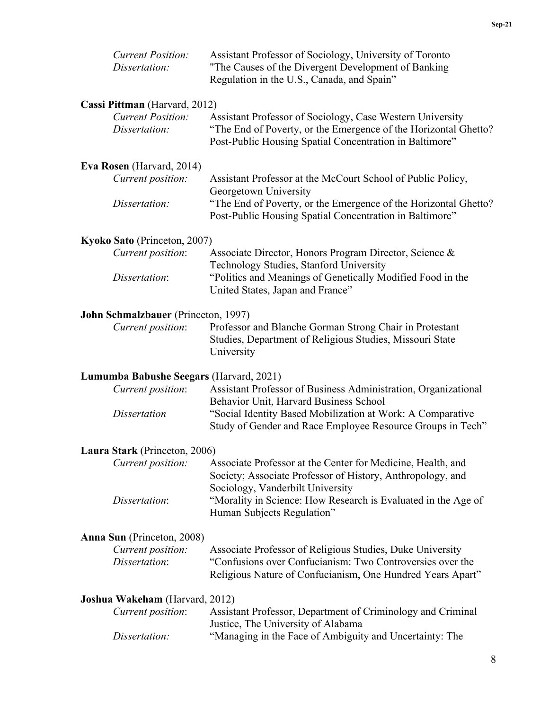| <b>Current Position:</b><br>Dissertation: | Assistant Professor of Sociology, University of Toronto<br>"The Causes of the Divergent Development of Banking<br>Regulation in the U.S., Canada, and Spain"                            |
|-------------------------------------------|-----------------------------------------------------------------------------------------------------------------------------------------------------------------------------------------|
| Cassi Pittman (Harvard, 2012)             |                                                                                                                                                                                         |
| <b>Current Position:</b><br>Dissertation: | Assistant Professor of Sociology, Case Western University<br>"The End of Poverty, or the Emergence of the Horizontal Ghetto?<br>Post-Public Housing Spatial Concentration in Baltimore" |
| Eva Rosen (Harvard, 2014)                 |                                                                                                                                                                                         |
| Current position:                         | Assistant Professor at the McCourt School of Public Policy,<br>Georgetown University                                                                                                    |
| Dissertation:                             | "The End of Poverty, or the Emergence of the Horizontal Ghetto?<br>Post-Public Housing Spatial Concentration in Baltimore"                                                              |
| Kyoko Sato (Princeton, 2007)              |                                                                                                                                                                                         |
| Current position:                         | Associate Director, Honors Program Director, Science &<br>Technology Studies, Stanford University                                                                                       |
| Dissertation:                             | "Politics and Meanings of Genetically Modified Food in the<br>United States, Japan and France"                                                                                          |
| John Schmalzbauer (Princeton, 1997)       |                                                                                                                                                                                         |
| Current position:                         | Professor and Blanche Gorman Strong Chair in Protestant<br>Studies, Department of Religious Studies, Missouri State<br>University                                                       |
| Lumumba Babushe Seegars (Harvard, 2021)   |                                                                                                                                                                                         |
| Current position:                         | Assistant Professor of Business Administration, Organizational<br>Behavior Unit, Harvard Business School                                                                                |
| <b>Dissertation</b>                       | "Social Identity Based Mobilization at Work: A Comparative<br>Study of Gender and Race Employee Resource Groups in Tech"                                                                |
| Laura Stark (Princeton, 2006)             |                                                                                                                                                                                         |
| Current position:                         | Associate Professor at the Center for Medicine, Health, and<br>Society; Associate Professor of History, Anthropology, and<br>Sociology, Vanderbilt University                           |
| Dissertation:                             | "Morality in Science: How Research is Evaluated in the Age of<br>Human Subjects Regulation"                                                                                             |
| Anna Sun (Princeton, 2008)                |                                                                                                                                                                                         |
| Current position:<br>Dissertation:        | Associate Professor of Religious Studies, Duke University<br>"Confusions over Confucianism: Two Controversies over the<br>Religious Nature of Confucianism, One Hundred Years Apart"    |
| Joshua Wakeham (Harvard, 2012)            |                                                                                                                                                                                         |
| Current position:                         | Assistant Professor, Department of Criminology and Criminal<br>Justice, The University of Alabama                                                                                       |
| Dissertation:                             | "Managing in the Face of Ambiguity and Uncertainty: The                                                                                                                                 |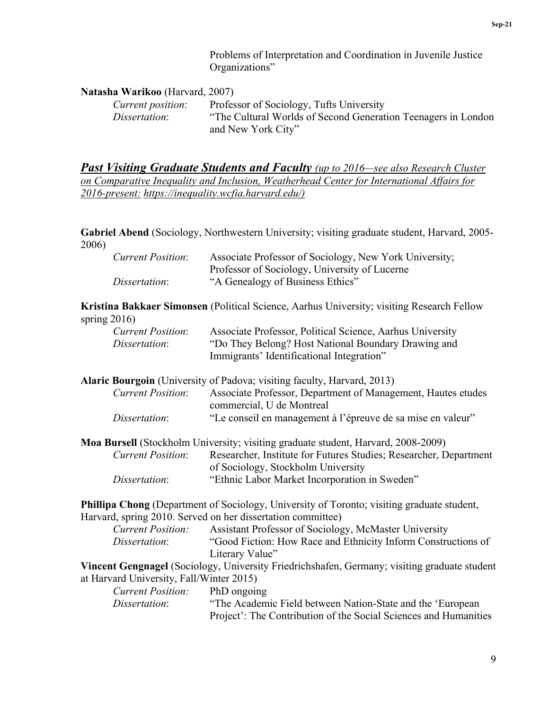Problems of Interpretation and Coordination in Juvenile Justice Organizations"

#### **Natasha Warikoo** (Harvard, 2007)

| Current position:    | Professor of Sociology, Tufts University                      |
|----------------------|---------------------------------------------------------------|
| <i>Dissertation:</i> | "The Cultural Worlds of Second Generation Teenagers in London |
|                      | and New York City"                                            |

*Past Visiting Graduate Students and Faculty (up to 2016—see also Research Cluster on Comparative Inequality and Inclusion, Weatherhead Center for International Affairs for 2016-present: [https://inequality.wcfia.harvard.edu/\)](https://inequality.wcfia.harvard.edu/)*

**Gabriel Abend** (Sociology, Northwestern University; visiting graduate student, Harvard, 2005- 2006)

| <b>Current Position:</b> | Associate Professor of Sociology, New York University; |
|--------------------------|--------------------------------------------------------|
|                          | Professor of Sociology, University of Lucerne          |
| Dissertation:            | "A Genealogy of Business Ethics"                       |

**Kristina Bakkaer Simonsen** (Political Science, Aarhus University; visiting Research Fellow spring 2016)

| <b>Current Position:</b> | Associate Professor, Political Science, Aarhus University |
|--------------------------|-----------------------------------------------------------|
| <i>Dissertation:</i>     | "Do They Belong? Host National Boundary Drawing and       |
|                          | Immigrants' Identificational Integration"                 |

**Alaric Bourgoin** (University of Padova; visiting faculty, Harvard, 2013)

| <b>Current Position:</b> | Associate Professor, Department of Management, Hautes etudes |
|--------------------------|--------------------------------------------------------------|
|                          | commercial, U de Montreal                                    |
| Dissertation:            | "Le conseil en management à l'épreuve de sa mise en valeur"  |

**Moa Bursell** (Stockholm University; visiting graduate student, Harvard, 2008-2009) *Current Position*: Researcher, Institute for Futures Studies; Researcher, Department of Sociology, Stockholm University *Dissertation*: "Ethnic Labor Market Incorporation in Sweden"

**Phillipa Chong** (Department of Sociology, University of Toronto; visiting graduate student, Harvard, spring 2010. Served on her dissertation committee)

| <b>Current Position:</b> | Assistant Professor of Sociology, McMaster University         |
|--------------------------|---------------------------------------------------------------|
| <i>Dissertation:</i>     | "Good Fiction: How Race and Ethnicity Inform Constructions of |
|                          | Literary Value"                                               |

**Vincent Gengnagel** (Sociology, University Friedrichshafen, Germany; visiting graduate student at Harvard University, Fall/Winter 2015)

| <i>Current Position:</i> | PhD ongoing                                                      |
|--------------------------|------------------------------------------------------------------|
| Dissertation:            | "The Academic Field between Nation-State and the 'European       |
|                          | Project': The Contribution of the Social Sciences and Humanities |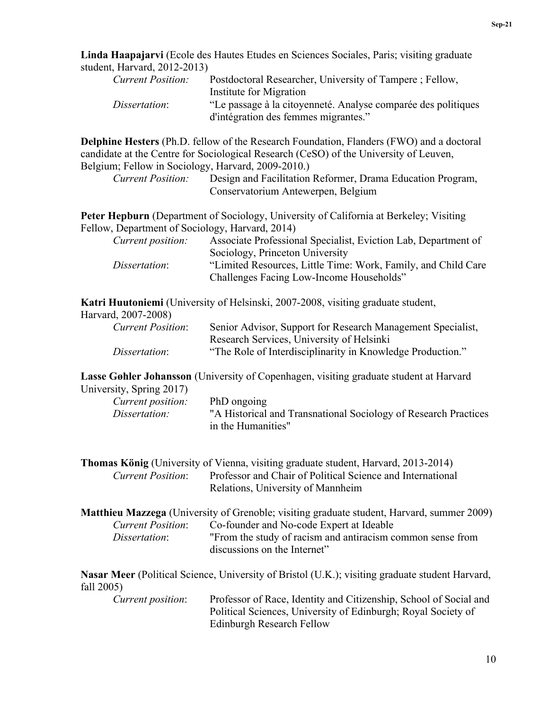**Linda Haapajarvi** (Ecole des Hautes Etudes en Sciences Sociales, Paris; visiting graduate student, Harvard, 2012-2013)

| Current Position: | Postdoctoral Researcher, University of Tampere; Fellow,       |
|-------------------|---------------------------------------------------------------|
|                   | Institute for Migration                                       |
| Dissertation:     | "Le passage à la citoyenneté. Analyse comparée des politiques |
|                   | d'intégration des femmes migrantes."                          |

**Delphine Hesters** (Ph.D. fellow of the Research Foundation, Flanders (FWO) and a doctoral candidate at the Centre for Sociological Research (CeSO) of the University of Leuven, Belgium; Fellow in Sociology, Harvard, 2009-2010.)

| <b>Current Position:</b> | Design and Facilitation Reformer, Drama Education Program, |
|--------------------------|------------------------------------------------------------|
|                          | Conservatorium Antewerpen, Belgium                         |

**Peter Hepburn** (Department of Sociology, University of California at Berkeley; Visiting Fellow, Department of Sociology, Harvard, 2014)

| <i>Current position:</i> | Associate Professional Specialist, Eviction Lab, Department of |
|--------------------------|----------------------------------------------------------------|
|                          | Sociology, Princeton University                                |
| Dissertation:            | "Limited Resources, Little Time: Work, Family, and Child Care  |
|                          | Challenges Facing Low-Income Households"                       |

**Katri Huutoniemi** (University of Helsinski, 2007-2008, visiting graduate student,

| Harvard, 2007-2008)      |                                                             |
|--------------------------|-------------------------------------------------------------|
| <b>Current Position:</b> | Senior Advisor, Support for Research Management Specialist, |
|                          | Research Services, University of Helsinki                   |
| Dissertation:            | "The Role of Interdisciplinarity in Knowledge Production."  |

**Lasse Gøhler Johansson** (University of Copenhagen, visiting graduate student at Harvard

| University, Spring 2017) |                    |  |                                                                 |
|--------------------------|--------------------|--|-----------------------------------------------------------------|
| Current position:        | PhD ongoing        |  |                                                                 |
| Dissertation:            |                    |  | "A Historical and Transnational Sociology of Research Practices |
|                          | in the Humanities" |  |                                                                 |

|                          | <b>Thomas König</b> (University of Vienna, visiting graduate student, Harvard, 2013-2014) |
|--------------------------|-------------------------------------------------------------------------------------------|
| <b>Current Position:</b> | Professor and Chair of Political Science and International                                |
|                          | Relations, University of Mannheim                                                         |

|                          | <b>Matthieu Mazzega</b> (University of Grenoble; visiting graduate student, Harvard, summer 2009) |
|--------------------------|---------------------------------------------------------------------------------------------------|
| <b>Current Position:</b> | Co-founder and No-code Expert at Ideable                                                          |
| Dissertation:            | "From the study of racism and antiracism common sense from                                        |
|                          | discussions on the Internet"                                                                      |

**Nasar Meer** (Political Science, University of Bristol (U.K.); visiting graduate student Harvard, fall 2005)

| Current position: | Professor of Race, Identity and Citizenship, School of Social and |
|-------------------|-------------------------------------------------------------------|
|                   | Political Sciences, University of Edinburgh; Royal Society of     |
|                   | Edinburgh Research Fellow                                         |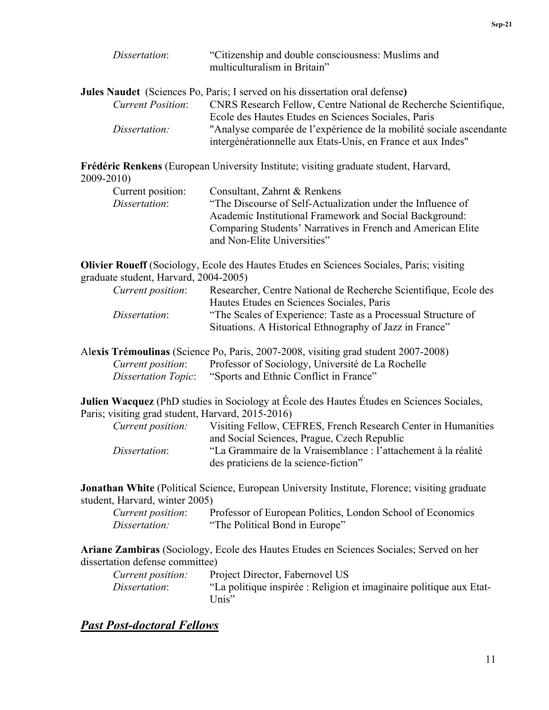| Dissertation:            | "Citizenship and double consciousness: Muslims and<br>multiculturalism in Britain" |
|--------------------------|------------------------------------------------------------------------------------|
|                          | Jules Naudet (Sciences Po, Paris; I served on his dissertation oral defense)       |
| <b>Current Position:</b> | CNRS Research Fellow, Centre National de Recherche Scientifique,                   |
|                          | Ecole des Hautes Etudes en Sciences Sociales, Paris                                |
| Dissertation:            | "Analyse comparée de l'expérience de la mobilité sociale ascendante                |
|                          | intergénérationnelle aux Etats-Unis, en France et aux Indes"                       |

**Frédéric Renkens** (European University Institute; visiting graduate student, Harvard, 2009-2010)

| .                 |                                                             |
|-------------------|-------------------------------------------------------------|
| Current position: | Consultant, Zahrnt & Renkens                                |
| Dissertation:     | "The Discourse of Self-Actualization under the Influence of |
|                   | Academic Institutional Framework and Social Background:     |
|                   | Comparing Students' Narratives in French and American Elite |
|                   | and Non-Elite Universities"                                 |

**Olivier Roueff** (Sociology, Ecole des Hautes Etudes en Sciences Sociales, Paris; visiting graduate student, Harvard, 2004-2005)

| Current position: | Researcher, Centre National de Recherche Scientifique, Ecole des |
|-------------------|------------------------------------------------------------------|
|                   | Hautes Etudes en Sciences Sociales, Paris                        |
| Dissertation:     | "The Scales of Experience: Taste as a Processual Structure of    |
|                   | Situations. A Historical Ethnography of Jazz in France"          |

Al**exis Trémoulinas** (Science Po, Paris, 2007-2008, visiting grad student 2007-2008) *Current position*: Professor of Sociology, Université de La Rochelle *Dissertation Topic*: "Sports and Ethnic Conflict in France"

**Julien Wacquez** (PhD studies in Sociology at École des Hautes Études en Sciences Sociales, Paris; visiting grad student, Harvard, 2015-2016)

| Current position: | Visiting Fellow, CEFRES, French Research Center in Humanities  |
|-------------------|----------------------------------------------------------------|
|                   | and Social Sciences, Prague, Czech Republic                    |
| Dissertation:     | "La Grammaire de la Vraisemblance : l'attachement à la réalité |
|                   | des praticiens de la science-fiction"                          |

**Jonathan White** (Political Science, European University Institute, Florence; visiting graduate student, Harvard, winter 2005)

| Current position: | Professor of European Politics, London School of Economics |
|-------------------|------------------------------------------------------------|
| Dissertation:     | "The Political Bond in Europe"                             |

**Ariane Zambiras** (Sociology, Ecole des Hautes Etudes en Sciences Sociales; Served on her dissertation defense committee)

| <i>Current position:</i> | Project Director, Fabernovel US                                     |
|--------------------------|---------------------------------------------------------------------|
| Dissertation:            | "La politique inspirée : Religion et imaginaire politique aux Etat- |
|                          | Unis"                                                               |

## *Past Post-doctoral Fellows*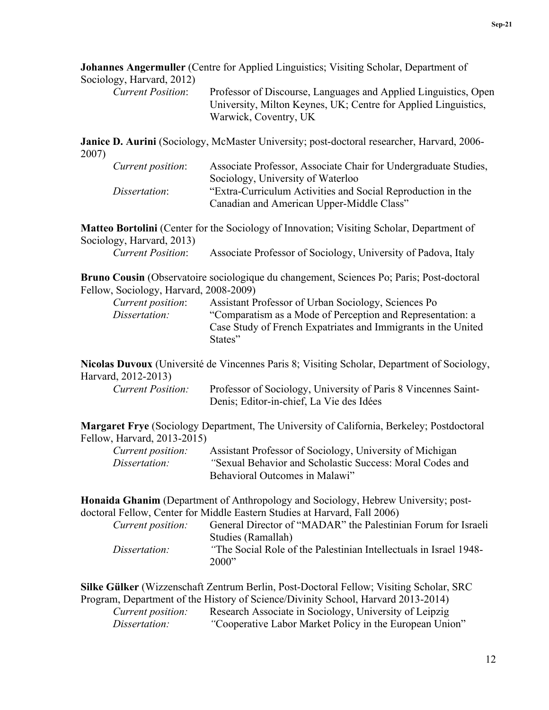**Johannes Angermuller** (Centre for Applied Linguistics; Visiting Scholar, Department of Sociology, Harvard, 2012)

| $5.010 \pm 0.1$ , $1.001 \pm 0.01$ |                                                                 |
|------------------------------------|-----------------------------------------------------------------|
| <b>Current Position:</b>           | Professor of Discourse, Languages and Applied Linguistics, Open |
|                                    | University, Milton Keynes, UK; Centre for Applied Linguistics,  |
|                                    | Warwick, Coventry, UK                                           |

**Janice D. Aurini** (Sociology, McMaster University; post-doctoral researcher, Harvard, 2006- 2007)

| Current position: | Associate Professor, Associate Chair for Undergraduate Studies, |
|-------------------|-----------------------------------------------------------------|
|                   | Sociology, University of Waterloo                               |
| Dissertation:     | "Extra-Curriculum Activities and Social Reproduction in the     |
|                   | Canadian and American Upper-Middle Class"                       |

**Matteo Bortolini** (Center for the Sociology of Innovation; Visiting Scholar, Department of Sociology, Harvard, 2013)

| <b>Current Position:</b> | Associate Professor of Sociology, University of Padova, Italy |  |  |  |  |
|--------------------------|---------------------------------------------------------------|--|--|--|--|
|--------------------------|---------------------------------------------------------------|--|--|--|--|

**Bruno Cousin** (Observatoire sociologique du changement, Sciences Po; Paris; Post-doctoral Fellow, Sociology, Harvard, 2008-2009)

| Current position: | Assistant Professor of Urban Sociology, Sciences Po           |
|-------------------|---------------------------------------------------------------|
| Dissertation:     | "Comparatism as a Mode of Perception and Representation: a    |
|                   | Case Study of French Expatriates and Immigrants in the United |
|                   | States"                                                       |

**Nicolas Duvoux** (Université de Vincennes Paris 8; Visiting Scholar, Department of Sociology, Harvard, 2012-2013)

| Current Position: | Professor of Sociology, University of Paris 8 Vincennes Saint- |
|-------------------|----------------------------------------------------------------|
|                   | Denis; Editor-in-chief, La Vie des Idées                       |

**Margaret Frye** (Sociology Department, The University of California, Berkeley; Postdoctoral Fellow, Harvard, 2013-2015)

| Current position: | Assistant Professor of Sociology, University of Michigan |
|-------------------|----------------------------------------------------------|
| Dissertation:     | "Sexual Behavior and Scholastic Success: Moral Codes and |
|                   | Behavioral Outcomes in Malawi"                           |

**Honaida Ghanim** (Department of Anthropology and Sociology, Hebrew University; postdoctoral Fellow, Center for Middle Eastern Studies at Harvard, Fall 2006)

| Current position: | General Director of "MADAR" the Palestinian Forum for Israeli     |
|-------------------|-------------------------------------------------------------------|
|                   | Studies (Ramallah)                                                |
| Dissertation:     | "The Social Role of the Palestinian Intellectuals in Israel 1948- |
|                   | 2000"                                                             |

**Silke Gülker** (Wizzenschaft Zentrum Berlin, Post-Doctoral Fellow; Visiting Scholar, SRC Program, Department of the History of Science/Divinity School, Harvard 2013-2014)

| Current position: | Research Associate in Sociology, University of Leipzig  |
|-------------------|---------------------------------------------------------|
| Dissertation:     | "Cooperative Labor Market Policy in the European Union" |